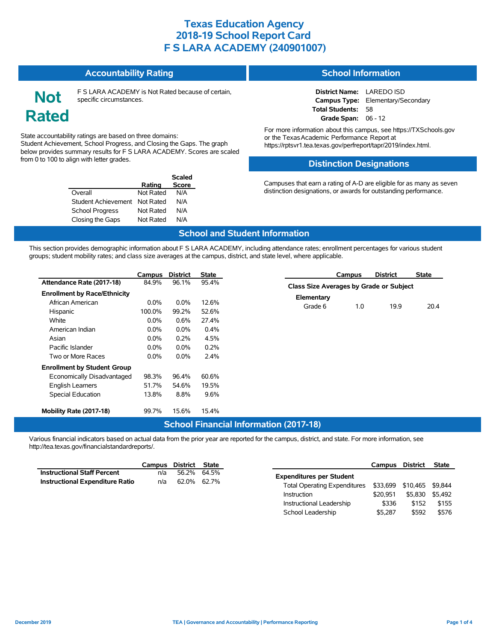#### **Accountability Rating**

**Not Rated** F S LARA ACADEMY is Not Rated because of certain, specific circumstances.

**Rating**

**Scaled Score**

#### State accountability ratings are based on three domains: Student Achievement, School Progress, and Closing the Gaps. The graph below provides summary results for F S LARA ACADEMY. Scores are scaled from 0 to 100 to align with letter grades.

Overall Not Rated N/A Student Achievement Not Rated N/A School Progress Not Rated N/A Closing the Gaps Not Rated N/A

| <b>School Information</b> |  |  |
|---------------------------|--|--|
|                           |  |  |
|                           |  |  |

**District Name:** LAREDO ISD **Campus Type:** Elementary/Secondary **Total Students:** 58 **Grade Span:** 06 - 12

For more information about this campus, see https://TXSchools.gov or the Texas Academic Performance Report at https://rptsvr1.tea.texas.gov/perfreport/tapr/2019/index.html.

### **Distinction Designations**

Campuses that earn a rating of A-D are eligible for as many as seven distinction designations, or awards for outstanding performance.

#### **School and Student Information**

This section provides demographic information about F S LARA ACADEMY, including attendance rates; enrollment percentages for various student groups; student mobility rates; and class size averages at the campus, district, and state level, where applicable.

|                                     | Campus  | <b>District</b> | State   |
|-------------------------------------|---------|-----------------|---------|
| Attendance Rate (2017-18)           | 84 9%   | 96.1%           | 95.4%   |
| <b>Enrollment by Race/Ethnicity</b> |         |                 |         |
| African American                    | $0.0\%$ | $0.0\%$         | 12.6%   |
| Hispanic                            | 100.0%  | 99.2%           | 52.6%   |
| White                               | $0.0\%$ | $0.6\%$         | 27.4%   |
| American Indian                     | $0.0\%$ | $0.0\%$         | $0.4\%$ |
| Asian                               | $0.0\%$ | 0.2%            | 4.5%    |
| Pacific Islander                    | $0.0\%$ | $0.0\%$         | 0.2%    |
| Two or More Races                   | $0.0\%$ | $0.0\%$         | 2.4%    |
| <b>Enrollment by Student Group</b>  |         |                 |         |
| Economically Disadvantaged          | 98.3%   | 96.4%           | 60.6%   |
| <b>English Learners</b>             | 51.7%   | 54.6%           | 19.5%   |
| <b>Special Education</b>            | 13.8%   | 8.8%            | 9.6%    |
| Mobility Rate (2017-18)             | 99.7%   | 15.6%           | 15.4%   |

|                                         | Campus | DISUICL | ⊃idle |
|-----------------------------------------|--------|---------|-------|
| Class Size Averages by Grade or Subject |        |         |       |
| Elementary                              |        |         |       |
| Grade 6                                 | 10     | 199     | 20.4  |
|                                         |        |         |       |

School Leadership  $$5,287$  \$592 \$576

**Campus District State**

### **School Financial Information (2017-18)**

Various financial indicators based on actual data from the prior year are reported for the campus, district, and state. For more information, see http://tea.texas.gov/financialstandardreports/.

|                                    |     | Campus District | State       |                                     | Campus District |                           | State   |
|------------------------------------|-----|-----------------|-------------|-------------------------------------|-----------------|---------------------------|---------|
| <b>Instructional Staff Percent</b> | n/a |                 | 56.2% 64.5% | <b>Expenditures per Student</b>     |                 |                           |         |
| Instructional Expenditure Ratio    | n/a | 62.0% 62.7%     |             |                                     |                 |                           |         |
|                                    |     |                 |             | <b>Total Operating Expenditures</b> |                 | \$33,699 \$10,465 \$9,844 |         |
|                                    |     |                 |             | Instruction                         | \$20.951        | \$5.830                   | \$5.492 |
|                                    |     |                 |             | Instructional Leadership            | \$336           | \$152                     | \$155   |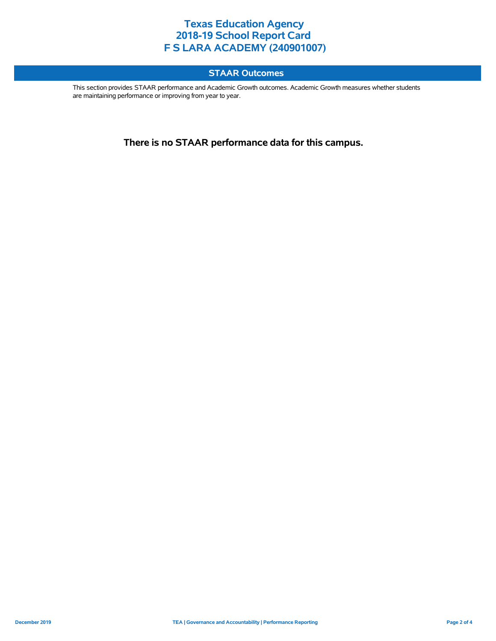### **STAAR Outcomes**

This section provides STAAR performance and Academic Growth outcomes. Academic Growth measures whether students are maintaining performance or improving from year to year.

**There is no STAAR performance data for this campus.**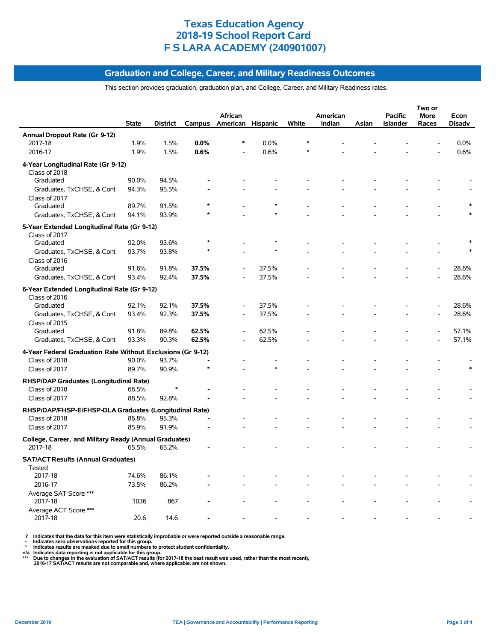#### **Graduation and College, Career, and Military Readiness Outcomes**

This section provides graduation, graduation plan, and College, Career, and Military Readiness rates.

|                                                                         |              |                 |         |                          |        |       |          |       |                 | Two or         |        |
|-------------------------------------------------------------------------|--------------|-----------------|---------|--------------------------|--------|-------|----------|-------|-----------------|----------------|--------|
|                                                                         |              |                 |         | African                  |        |       | American |       | <b>Pacific</b>  | More           | Econ   |
|                                                                         | <b>State</b> | <b>District</b> |         | Campus American Hispanic |        | White | Indian   | Asian | <b>Islander</b> | Races          | Disadv |
| Annual Dropout Rate (Gr 9-12)                                           |              |                 |         |                          |        |       |          |       |                 |                |        |
| 2017-18                                                                 | 1.9%         | 1.5%            | 0.0%    | $\ast$                   | 0.0%   |       |          |       |                 |                | 0.0%   |
| 2016-17                                                                 | 1.9%         | 1.5%            | 0.6%    | $\overline{\phantom{a}}$ | 0.6%   |       |          |       |                 |                | 0.6%   |
| 4-Year Longitudinal Rate (Gr 9-12)<br>Class of 2018                     |              |                 |         |                          |        |       |          |       |                 |                |        |
| Graduated                                                               | 90.0%        | 94.5%           |         |                          |        |       |          |       |                 |                |        |
| Graduates, TxCHSE, & Cont                                               | 94.3%        | 95.5%           |         |                          |        |       |          |       |                 |                |        |
| Class of 2017                                                           |              |                 |         |                          |        |       |          |       |                 |                |        |
| Graduated                                                               | 89.7%        | 91.5%           |         |                          |        |       |          |       |                 |                |        |
| Graduates, TxCHSE, & Cont                                               | 94.1%        | 93.9%           |         |                          |        |       |          |       |                 |                |        |
|                                                                         |              |                 |         |                          |        |       |          |       |                 |                |        |
| 5-Year Extended Longitudinal Rate (Gr 9-12)                             |              |                 |         |                          |        |       |          |       |                 |                |        |
| Class of 2017<br>Graduated                                              | 92.0%        | 93.6%           | $\star$ |                          |        |       |          |       |                 |                |        |
| Graduates, TxCHSE, & Cont                                               | 93.7%        | 93.8%           |         |                          |        |       |          |       |                 |                |        |
| Class of 2016                                                           |              |                 |         |                          |        |       |          |       |                 |                |        |
| Graduated                                                               | 91.6%        | 91.8%           | 37.5%   |                          | 37.5%  |       |          |       |                 |                | 28.6%  |
| Graduates, TxCHSE, & Cont                                               | 93.4%        | 92.4%           | 37.5%   |                          | 37.5%  |       |          |       |                 |                | 28.6%  |
|                                                                         |              |                 |         |                          |        |       |          |       |                 |                |        |
| 6-Year Extended Longitudinal Rate (Gr 9-12)                             |              |                 |         |                          |        |       |          |       |                 |                |        |
| Class of 2016                                                           |              |                 |         |                          |        |       |          |       |                 |                |        |
| Graduated                                                               | 92.1%        | 92.1%           | 37.5%   |                          | 37.5%  |       |          |       |                 |                | 28.6%  |
| Graduates, TxCHSE, & Cont                                               | 93.4%        | 92.3%           | 37.5%   | ÷,                       | 37.5%  |       |          |       |                 | $\overline{a}$ | 28.6%  |
| Class of 2015                                                           |              |                 |         |                          | 62.5%  |       |          |       |                 |                | 57.1%  |
| Graduated                                                               | 91.8%        | 89.8%           | 62.5%   | Ĭ.                       |        |       |          |       |                 |                |        |
| Graduates, TxCHSE, & Cont                                               | 93.3%        | 90.3%           | 62.5%   |                          | 62.5%  |       |          |       |                 |                | 57.1%  |
| 4-Year Federal Graduation Rate Without Exclusions (Gr 9-12)             |              |                 |         |                          |        |       |          |       |                 |                |        |
| Class of 2018                                                           | 90.0%        | 93.7%           |         |                          |        |       |          |       |                 |                |        |
| Class of 2017                                                           | 89.7%        | 90.9%           | $\star$ |                          | $\ast$ |       |          |       |                 |                |        |
| RHSP/DAP Graduates (Longitudinal Rate)                                  |              |                 |         |                          |        |       |          |       |                 |                |        |
| Class of 2018                                                           | 68.5%        | $\ast$          |         |                          |        |       |          |       |                 |                |        |
| Class of 2017                                                           | 88.5%        | 92.8%           |         |                          |        |       |          |       |                 |                |        |
|                                                                         |              |                 |         |                          |        |       |          |       |                 |                |        |
| RHSP/DAP/FHSP-E/FHSP-DLA Graduates (Longitudinal Rate)<br>Class of 2018 | 86.8%        | 95.3%           |         |                          |        |       |          |       |                 |                |        |
|                                                                         |              |                 |         |                          |        |       |          |       |                 |                |        |
| Class of 2017                                                           | 85.9%        | 91.9%           |         |                          |        |       |          |       |                 |                |        |
| College, Career, and Military Ready (Annual Graduates)                  |              |                 |         |                          |        |       |          |       |                 |                |        |
| 2017-18                                                                 | 65.5%        | 65.2%           |         |                          |        |       |          |       |                 |                |        |
| <b>SAT/ACT Results (Annual Graduates)</b>                               |              |                 |         |                          |        |       |          |       |                 |                |        |
| Tested                                                                  |              |                 |         |                          |        |       |          |       |                 |                |        |
| 2017-18                                                                 | 74.6%        | 86.1%           |         |                          |        |       |          |       |                 |                |        |
| 2016-17                                                                 | 73.5%        | 86.2%           |         |                          |        |       |          |       |                 |                |        |
| Average SAT Score ***                                                   |              |                 |         |                          |        |       |          |       |                 |                |        |
| 2017-18                                                                 | 1036         | 867             |         |                          |        |       |          |       |                 |                |        |
| Average ACT Score ***                                                   |              |                 |         |                          |        |       |          |       |                 |                |        |
| 2017-18                                                                 | 20.6         | 14.6            |         |                          |        |       |          |       |                 |                |        |

? Indicates that the data for this item were statistically improbable or were reported outside a reasonable range.<br>- Indicates zero observations reported for this group.<br>- Indicates zero observations reported for this grou